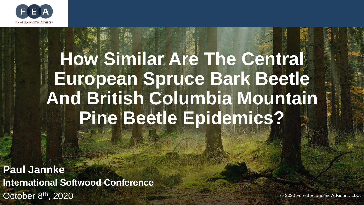

# **How Similar Are The Central European Spruce Bark Beetle And British Columbia Mountain Pine Beetle Epidemics?**

**Paul Jannke International Softwood Conference** October 8<sup>th</sup>, 2020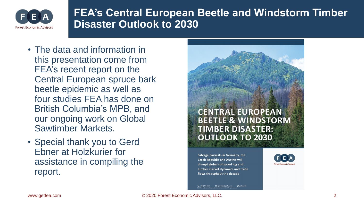

# **FEA's Central European Beetle and Windstorm Timber Disaster Outlook to 2030**

- The data and information in this presentation come from FEA's recent report on the Central European spruce bark beetle epidemic as well as four studies FEA has done on British Columbia's MPB, and our ongoing work on Global Sawtimber Markets.
- Special thank you to Gerd Ebner at Holzkurier for assistance in compiling the report.



Salvage harvests in Germany, the **Czech Republic and Austria will** disrupt global softwood log and lumber market dynamics and trade flows throughout the decade



↓ (978) 496-6337 ■ rgoodnow@getfea.com ■ getfea.com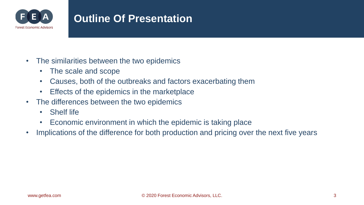

# **Outline Of Presentation**

- The similarities between the two epidemics
	- The scale and scope
	- Causes, both of the outbreaks and factors exacerbating them
	- Effects of the epidemics in the marketplace
- The differences between the two epidemics
	- Shelf life
	- Economic environment in which the epidemic is taking place
- Implications of the difference for both production and pricing over the next five years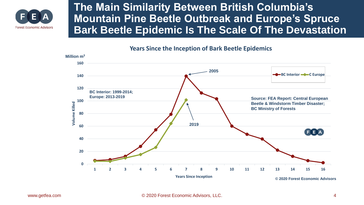

# **The Main Similarity Between British Columbia's Mountain Pine Beetle Outbreak and Europe's Spruce Bark Beetle Epidemic Is The Scale Of The Devastation**

#### **Years Since the Inception of Bark Beetle Epidemics**

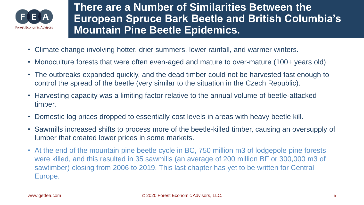

# **There are a Number of Similarities Between the European Spruce Bark Beetle and British Columbia's Mountain Pine Beetle Epidemics.**

- Climate change involving hotter, drier summers, lower rainfall, and warmer winters.
- Monoculture forests that were often even-aged and mature to over-mature (100+ years old).
- The outbreaks expanded quickly, and the dead timber could not be harvested fast enough to control the spread of the beetle (very similar to the situation in the Czech Republic).
- Harvesting capacity was a limiting factor relative to the annual volume of beetle-attacked timber.
- Domestic log prices dropped to essentially cost levels in areas with heavy beetle kill.
- Sawmills increased shifts to process more of the beetle-killed timber, causing an oversupply of lumber that created lower prices in some markets.
- At the end of the mountain pine beetle cycle in BC, 750 million m3 of lodgepole pine forests were killed, and this resulted in 35 sawmills (an average of 200 million BF or 300,000 m3 of sawtimber) closing from 2006 to 2019. This last chapter has yet to be written for Central Europe.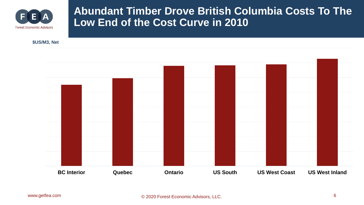

### **Abundant Timber Drove British Columbia Costs To The Low End of the Cost Curve in 2010**

#### **\$US/M3, Net**

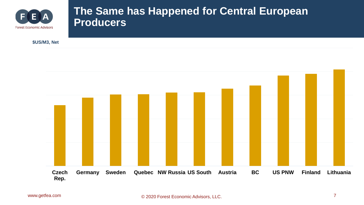

### **The Same has Happened for Central European Producers**

**\$US/M3, Net**

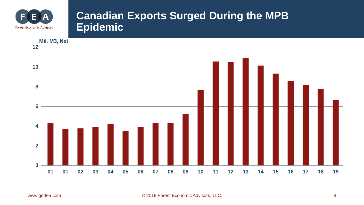

### **Canadian Exports Surged During the MPB Epidemic**

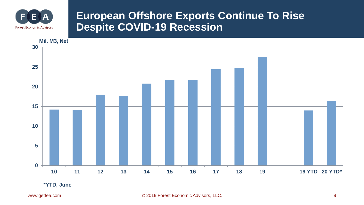

### **European Offshore Exports Continue To Rise Despite COVID-19 Recession**



www.getfea.com

© 2019 Forest Economic Advisors, LLC. 9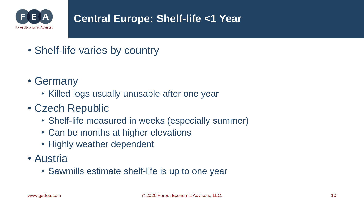

# **Central Europe: Shelf-life <1 Year**

- Shelf-life varies by country
- Germany
	- Killed logs usually unusable after one year
- Czech Republic
	- Shelf-life measured in weeks (especially summer)
	- Can be months at higher elevations
	- Highly weather dependent
- Austria
	- Sawmills estimate shelf-life is up to one year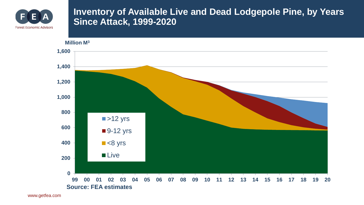

#### **Inventory of Available Live and Dead Lodgepole Pine, by Years Since Attack, 1999-2020**

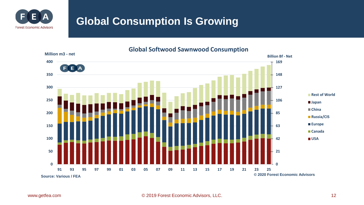

# **Global Consumption Is Growing**

#### **Global Softwood Sawnwood Consumption**

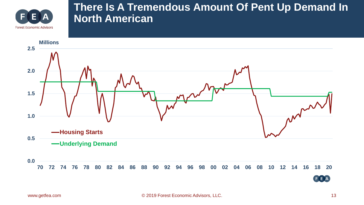

## **There Is A Tremendous Amount Of Pent Up Demand In North American**

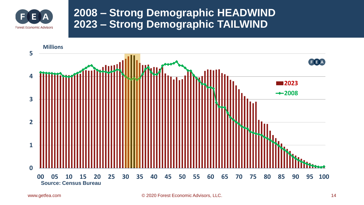

# **2008 – Strong Demographic HEADWIND 2023 – Strong Demographic TAILWIND**

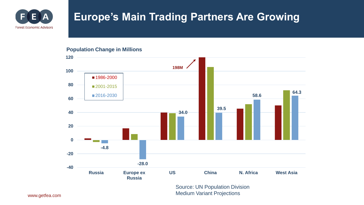

# **Europe's Main Trading Partners Are Growing**

#### **Population Change in Millions**



www.getfea.com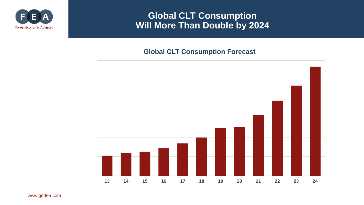

#### **Global CLT Consumption Will More Than Double by 2024**

#### **Global CLT Consumption Forecast**



www.getfea.com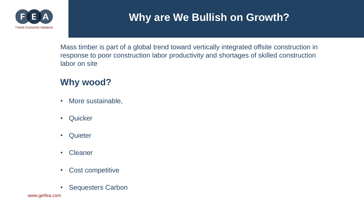

# **Why are We Bullish on Growth?**

Mass timber is part of a global trend toward vertically integrated offsite construction in response to poor construction labor productivity and shortages of skilled construction labor on site

### **Why wood?**

- More sustainable,
- Quicker
- Quieter
- Cleaner
- Cost competitive
- Sequesters Carbon

www.getfea.com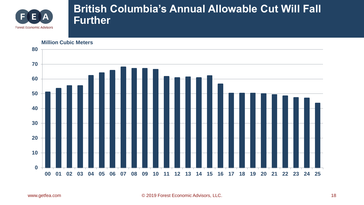

#### **British Columbia's Annual Allowable Cut Will Fall Further**

**0 10 20 30 40 50 60 70 80** 00 01 02 03 04 05 06 07 08 09 10 11 12 13 14 15 16 17 18 19 20 21 22 23 24 25 **Million Cubic Meters**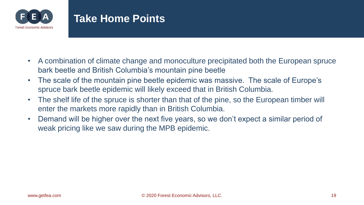

# **Take Home Points**

- A combination of climate change and monoculture precipitated both the European spruce bark beetle and British Columbia's mountain pine beetle
- The scale of the mountain pine beetle epidemic was massive. The scale of Europe's spruce bark beetle epidemic will likely exceed that in British Columbia.
- The shelf life of the spruce is shorter than that of the pine, so the European timber will enter the markets more rapidly than in British Columbia.
- Demand will be higher over the next five years, so we don't expect a similar period of weak pricing like we saw during the MPB epidemic.